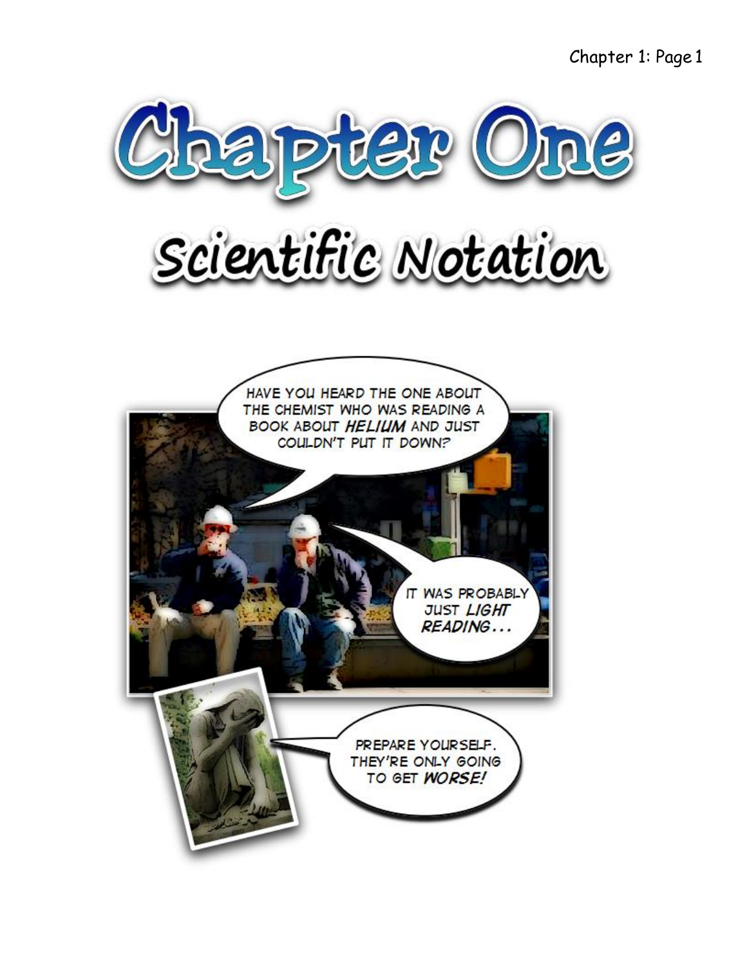Chapter 1: Page 1

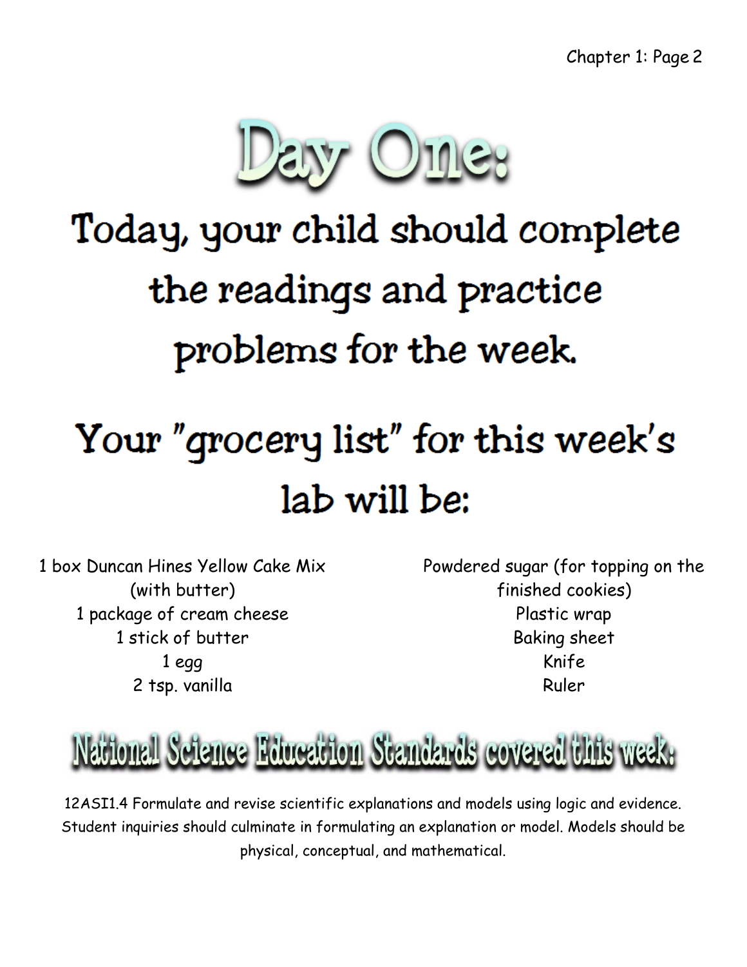

# Today, your child should complete the readings and practice problems for the week.

# Your "grocery list" for this week's lab will be:

1 box Duncan Hines Yellow Cake Mix (with butter) 1 package of cream cheese 1 stick of butter 1 egg 2 tsp. vanilla

Powdered sugar (for topping on the finished cookies) Plastic wrap Baking sheet Knife Ruler

### National Science Education Standards covered this week.

12ASI1.4 Formulate and revise scientific explanations and models using logic and evidence. Student inquiries should culminate in formulating an explanation or model. Models should be physical, conceptual, and mathematical.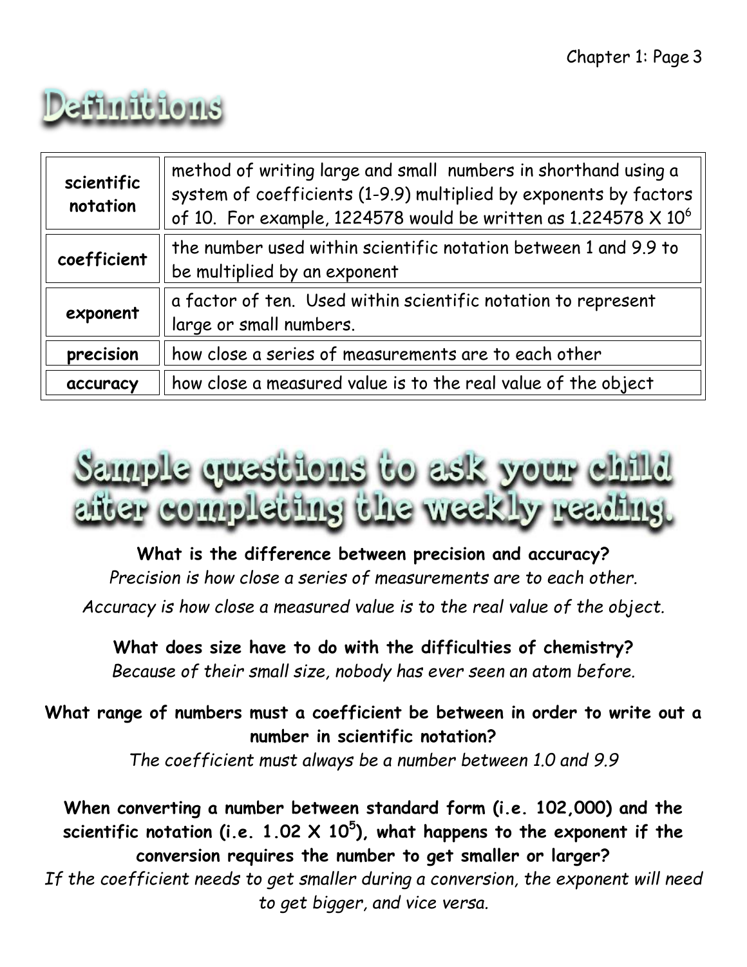

| scientific<br>notation | method of writing large and small numbers in shorthand using a<br>system of coefficients (1-9.9) multiplied by exponents by factors<br>of 10. For example, 1224578 would be written as 1.224578 $\times$ 10 <sup>6</sup> |
|------------------------|--------------------------------------------------------------------------------------------------------------------------------------------------------------------------------------------------------------------------|
| coefficient            | the number used within scientific notation between 1 and 9.9 to<br>be multiplied by an exponent                                                                                                                          |
| exponent               | a factor of ten. Used within scientific notation to represent<br>large or small numbers.                                                                                                                                 |
| precision              | how close a series of measurements are to each other                                                                                                                                                                     |
| accuracy               | how close a measured value is to the real value of the object                                                                                                                                                            |



**What is the difference between precision and accuracy?** *Precision is how close a series of measurements are to each other. Accuracy is how close a measured value is to the real value of the object.*

**What does size have to do with the difficulties of chemistry?** *Because of their small size, nobody has ever seen an atom before.*

**What range of numbers must a coefficient be between in order to write out a number in scientific notation?** *The coefficient must always be a number between 1.0 and 9.9*

**When converting a number between standard form (i.e. 102,000) and the scientific notation (i.e. 1.02 X 10<sup>5</sup> ), what happens to the exponent if the conversion requires the number to get smaller or larger?**

*If the coefficient needs to get smaller during a conversion, the exponent will need to get bigger, and vice versa.*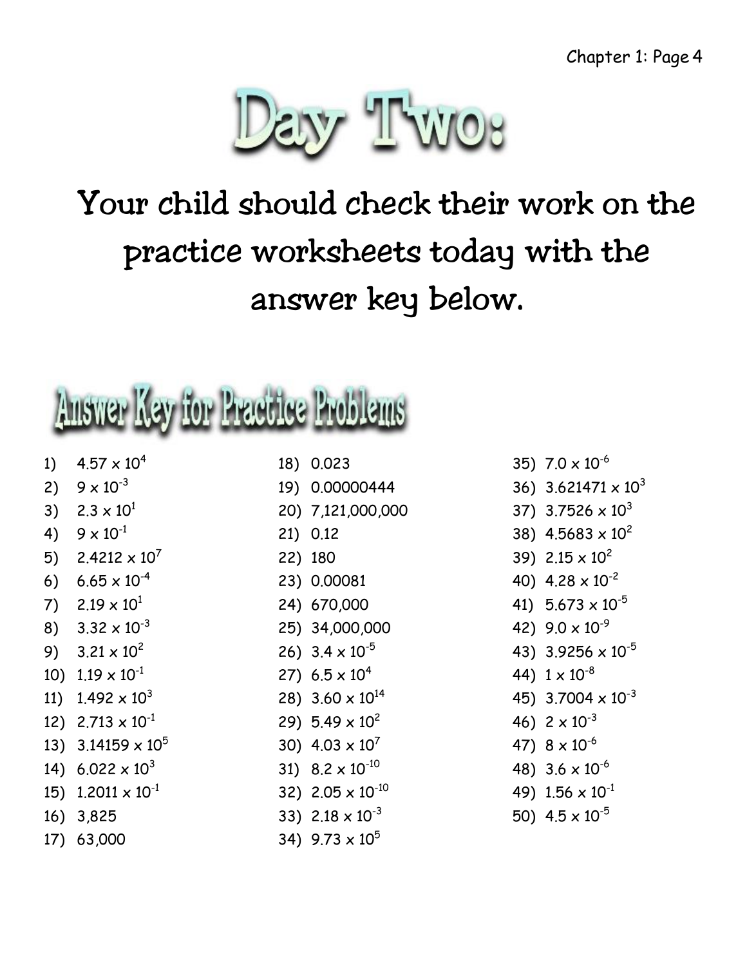

## Your child should check their work on the practice worksheets today with the answer key below.

# Auswer Key for Practice Problems

- 1)  $4.57 \times 10^4$
- 2)  $9 \times 10^{-3}$
- 3)  $2.3 \times 10^{1}$
- 4)  $9 \times 10^{-1}$
- 5)  $2.4212 \times 10^7$
- 6)  $6.65 \times 10^{-4}$
- 7)  $2.19 \times 10^{1}$
- 8)  $3.32 \times 10^{-3}$
- 9)  $3.21 \times 10^2$
- 10)  $1.19 \times 10^{-1}$
- 11)  $1.492 \times 10^3$
- 12)  $2.713 \times 10^{-1}$
- 13)  $3.14159 \times 10^5$
- 14)  $6.022 \times 10^3$
- 15)  $1.2011 \times 10^{-1}$
- 16) 3,825
- 17) 63,000
- 18) 0.023
- 19) 0.00000444
- 20) 7,121,000,000
- 21) 0.12
- 22) 180
- 23) 0.00081
- 24) 670,000
- 25) 34,000,000
- 26)  $3.4 \times 10^{-5}$
- 27)  $6.5 \times 10^4$
- 28) 3.60  $\times$  10<sup>14</sup>
- 29)  $5.49 \times 10^2$
- 30)  $4.03 \times 10^7$
- 31) 8.2 x 10-10
- 32) 2.05  $\times$  10<sup>-10</sup>
- 33) 2.18 x 10-3
- 34)  $9.73 \times 10^5$
- 35) 7.0 x 10-6
- 36)  $3.621471 \times 10^3$
- 37) 3.7526  $\times$  10<sup>3</sup>
- 38)  $4.5683 \times 10^{2}$
- 39)  $2.15 \times 10^2$
- 40)  $4.28 \times 10^{-2}$
- 41)  $5.673 \times 10^{-5}$
- 42)  $9.0 \times 10^{-9}$
- 43) 3.9256 x 10-5
- 44)  $1 \times 10^{-8}$
- 45) 3.7004  $\times$  10<sup>-3</sup>
- 46)  $2 \times 10^{-3}$
- 47)  $8 \times 10^{-6}$
- 48)  $3.6 \times 10^{-6}$
- 49)  $1.56 \times 10^{-1}$
- 50)  $4.5 \times 10^{-5}$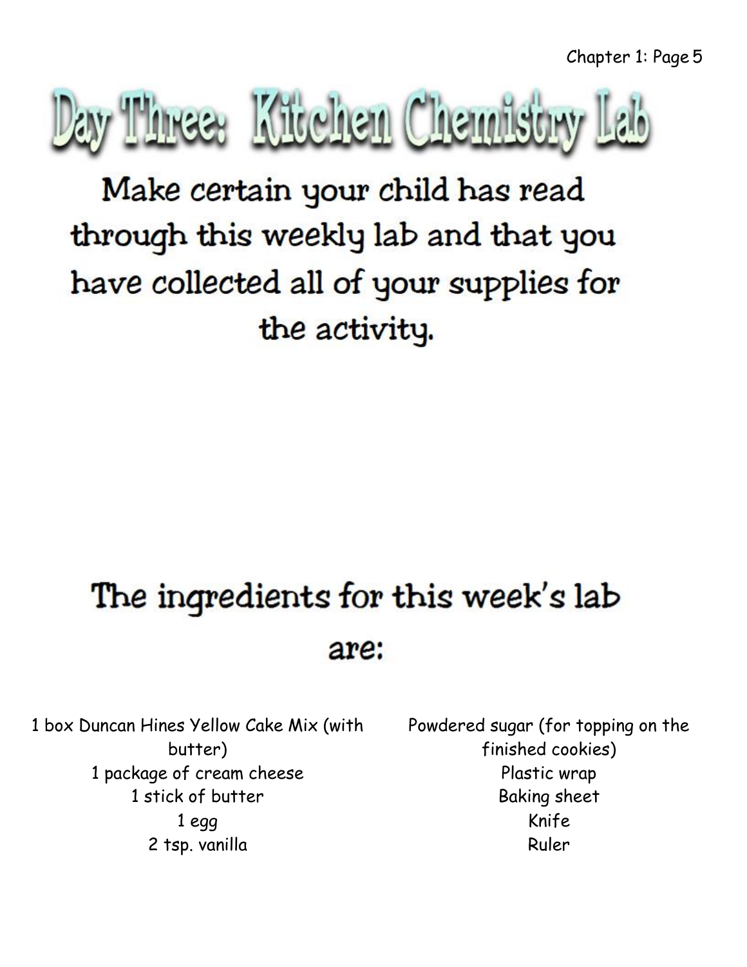

Make certain your child has read through this weekly lab and that you have collected all of your supplies for the activity.

## The ingredients for this week's lab are:

1 box Duncan Hines Yellow Cake Mix (with butter) 1 package of cream cheese 1 stick of butter 1 egg 2 tsp. vanilla

Powdered sugar (for topping on the finished cookies) Plastic wrap Baking sheet Knife Ruler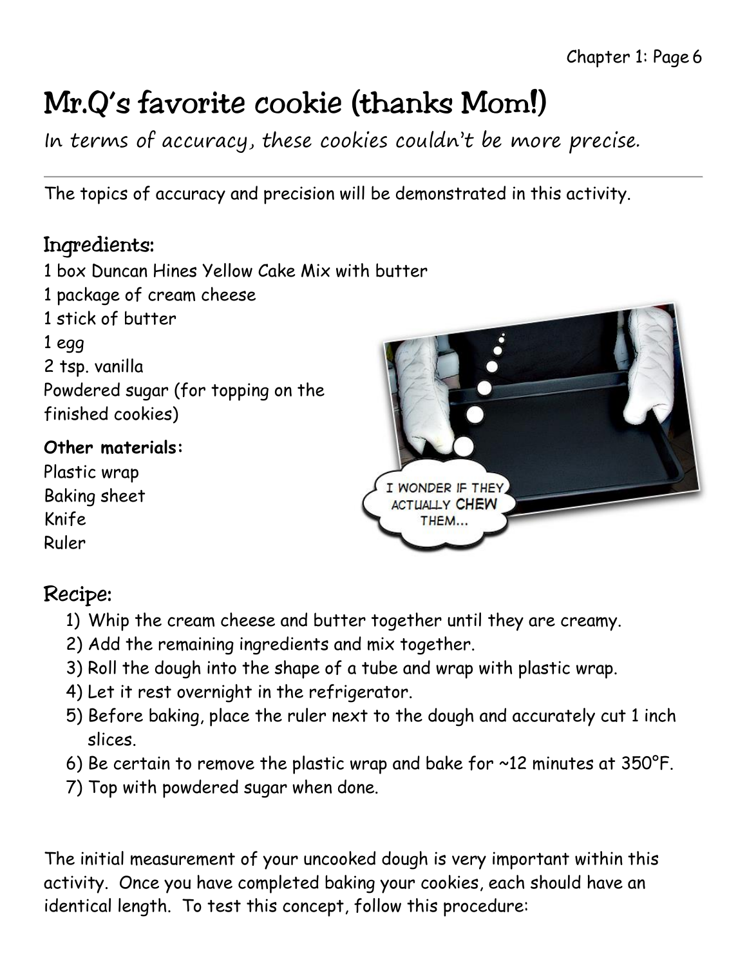### Mr.Q's favorite cookie (thanks Mom!)

In terms of accuracy, these cookies couldn't be more precise.

The topics of accuracy and precision will be demonstrated in this activity.

### Ingredients:

1 box Duncan Hines Yellow Cake Mix with butter 1 package of cream cheese 1 stick of butter 1 egg 2 tsp. vanilla Powdered sugar (for topping on the finished cookies)

#### **Other materials:**

Plastic wrap Baking sheet Knife Ruler



### Recipe:

- 1) Whip the cream cheese and butter together until they are creamy.
- 2) Add the remaining ingredients and mix together.
- 3) Roll the dough into the shape of a tube and wrap with plastic wrap.
- 4) Let it rest overnight in the refrigerator.
- 5) Before baking, place the ruler next to the dough and accurately cut 1 inch slices.
- 6) Be certain to remove the plastic wrap and bake for ~12 minutes at 350°F.
- 7) Top with powdered sugar when done.

The initial measurement of your uncooked dough is very important within this activity. Once you have completed baking your cookies, each should have an identical length. To test this concept, follow this procedure: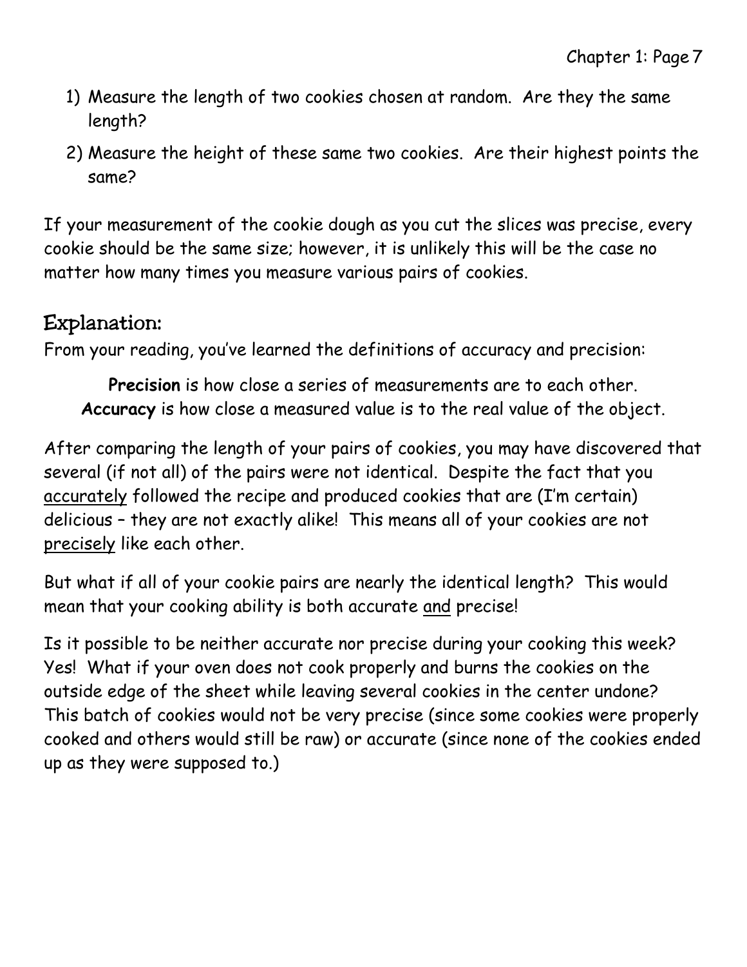- 1) Measure the length of two cookies chosen at random. Are they the same length?
- 2) Measure the height of these same two cookies. Are their highest points the same?

If your measurement of the cookie dough as you cut the slices was precise, every cookie should be the same size; however, it is unlikely this will be the case no matter how many times you measure various pairs of cookies.

#### Explanation:

From your reading, you've learned the definitions of accuracy and precision:

**Precision** is how close a series of measurements are to each other. **Accuracy** is how close a measured value is to the real value of the object.

After comparing the length of your pairs of cookies, you may have discovered that several (if not all) of the pairs were not identical. Despite the fact that you accurately followed the recipe and produced cookies that are (I'm certain) delicious – they are not exactly alike! This means all of your cookies are not precisely like each other.

But what if all of your cookie pairs are nearly the identical length? This would mean that your cooking ability is both accurate and precise!

Is it possible to be neither accurate nor precise during your cooking this week? Yes! What if your oven does not cook properly and burns the cookies on the outside edge of the sheet while leaving several cookies in the center undone? This batch of cookies would not be very precise (since some cookies were properly cooked and others would still be raw) or accurate (since none of the cookies ended up as they were supposed to.)